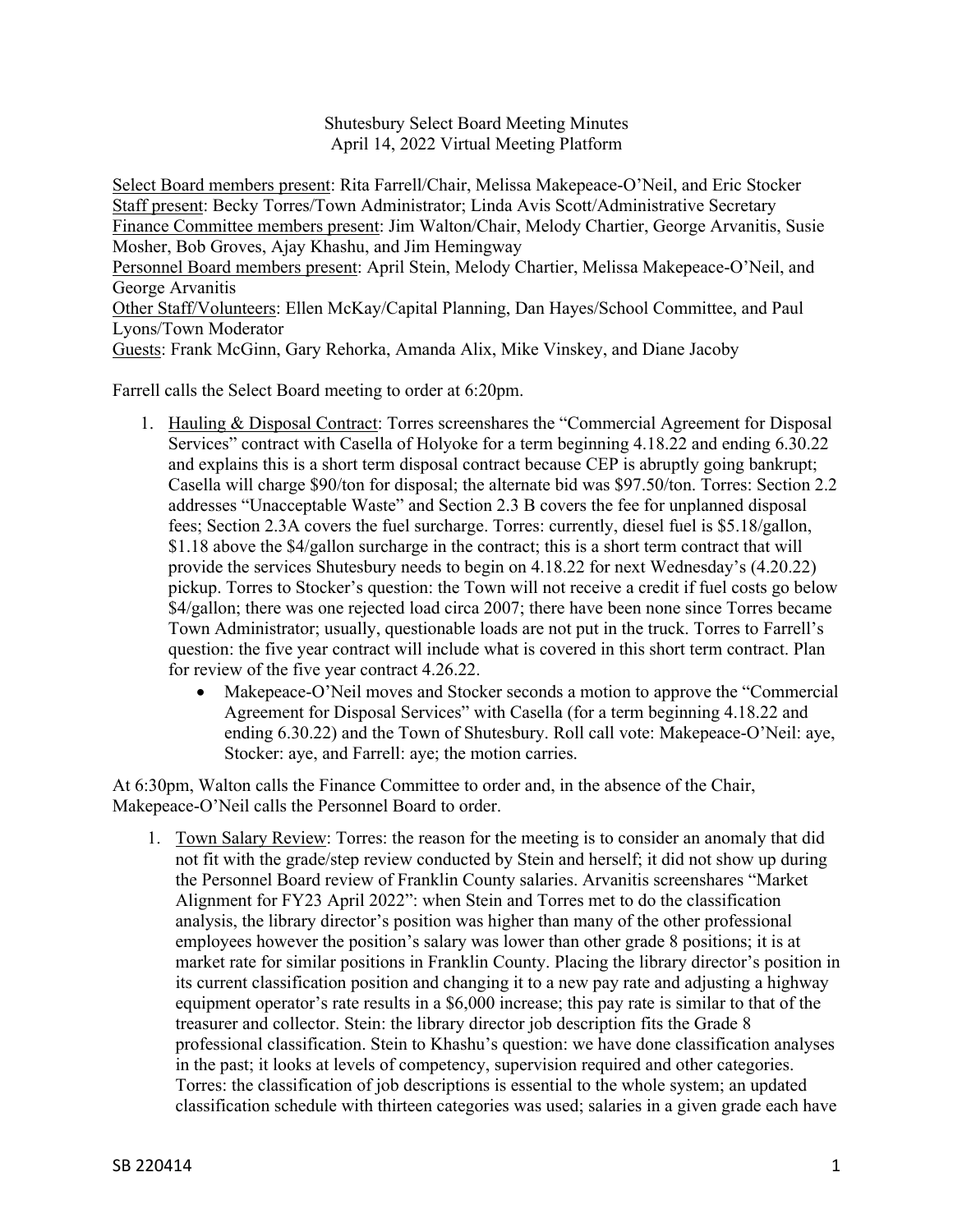Shutesbury Select Board Meeting Minutes April 14, 2022 Virtual Meeting Platform

Select Board members present: Rita Farrell/Chair, Melissa Makepeace-O'Neil, and Eric Stocker Staff present: Becky Torres/Town Administrator; Linda Avis Scott/Administrative Secretary Finance Committee members present: Jim Walton/Chair, Melody Chartier, George Arvanitis, Susie Mosher, Bob Groves, Ajay Khashu, and Jim Hemingway Personnel Board members present: April Stein, Melody Chartier, Melissa Makepeace-O'Neil, and George Arvanitis Other Staff/Volunteers: Ellen McKay/Capital Planning, Dan Hayes/School Committee, and Paul Lyons/Town Moderator Guests: Frank McGinn, Gary Rehorka, Amanda Alix, Mike Vinskey, and Diane Jacoby

Farrell calls the Select Board meeting to order at 6:20pm.

- 1. Hauling & Disposal Contract: Torres screenshares the "Commercial Agreement for Disposal Services" contract with Casella of Holyoke for a term beginning 4.18.22 and ending 6.30.22 and explains this is a short term disposal contract because CEP is abruptly going bankrupt; Casella will charge \$90/ton for disposal; the alternate bid was \$97.50/ton. Torres: Section 2.2 addresses "Unacceptable Waste" and Section 2.3 B covers the fee for unplanned disposal fees; Section 2.3A covers the fuel surcharge. Torres: currently, diesel fuel is \$5.18/gallon, \$1.18 above the \$4/gallon surcharge in the contract; this is a short term contract that will provide the services Shutesbury needs to begin on 4.18.22 for next Wednesday's (4.20.22) pickup. Torres to Stocker's question: the Town will not receive a credit if fuel costs go below \$4/gallon; there was one rejected load circa 2007; there have been none since Torres became Town Administrator; usually, questionable loads are not put in the truck. Torres to Farrell's question: the five year contract will include what is covered in this short term contract. Plan for review of the five year contract 4.26.22.
	- Makepeace-O'Neil moves and Stocker seconds a motion to approve the "Commercial" Agreement for Disposal Services" with Casella (for a term beginning 4.18.22 and ending 6.30.22) and the Town of Shutesbury. Roll call vote: Makepeace-O'Neil: aye, Stocker: aye, and Farrell: aye; the motion carries.

At 6:30pm, Walton calls the Finance Committee to order and, in the absence of the Chair, Makepeace-O'Neil calls the Personnel Board to order.

1. Town Salary Review: Torres: the reason for the meeting is to consider an anomaly that did not fit with the grade/step review conducted by Stein and herself; it did not show up during the Personnel Board review of Franklin County salaries. Arvanitis screenshares "Market Alignment for FY23 April 2022": when Stein and Torres met to do the classification analysis, the library director's position was higher than many of the other professional employees however the position's salary was lower than other grade 8 positions; it is at market rate for similar positions in Franklin County. Placing the library director's position in its current classification position and changing it to a new pay rate and adjusting a highway equipment operator's rate results in a \$6,000 increase; this pay rate is similar to that of the treasurer and collector. Stein: the library director job description fits the Grade 8 professional classification. Stein to Khashu's question: we have done classification analyses in the past; it looks at levels of competency, supervision required and other categories. Torres: the classification of job descriptions is essential to the whole system; an updated classification schedule with thirteen categories was used; salaries in a given grade each have